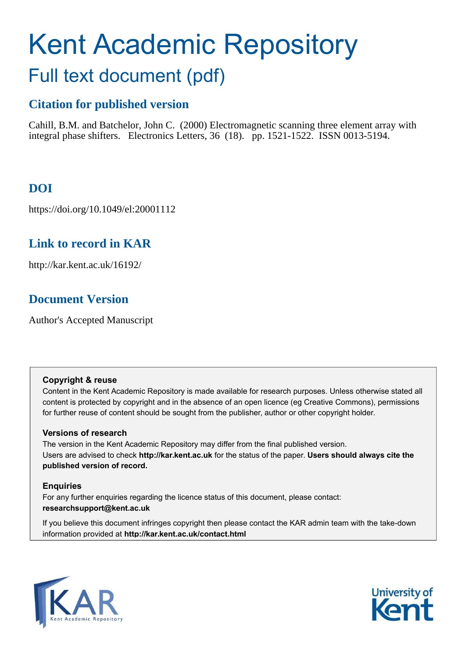# Kent Academic Repository Full text document (pdf)

# **Citation for published version**

Cahill, B.M. and Batchelor, John C. (2000) Electromagnetic scanning three element array with integral phase shifters. Electronics Letters, 36 (18). pp. 1521-1522. ISSN 0013-5194.

# **DOI**

https://doi.org/10.1049/el:20001112

# **Link to record in KAR**

http://kar.kent.ac.uk/16192/

## **Document Version**

Author's Accepted Manuscript

#### **Copyright & reuse**

Content in the Kent Academic Repository is made available for research purposes. Unless otherwise stated all content is protected by copyright and in the absence of an open licence (eg Creative Commons), permissions for further reuse of content should be sought from the publisher, author or other copyright holder.

#### **Versions of research**

The version in the Kent Academic Repository may differ from the final published version. Users are advised to check **http://kar.kent.ac.uk** for the status of the paper. **Users should always cite the published version of record.**

#### **Enquiries**

For any further enquiries regarding the licence status of this document, please contact: **researchsupport@kent.ac.uk**

If you believe this document infringes copyright then please contact the KAR admin team with the take-down information provided at **http://kar.kent.ac.uk/contact.html**



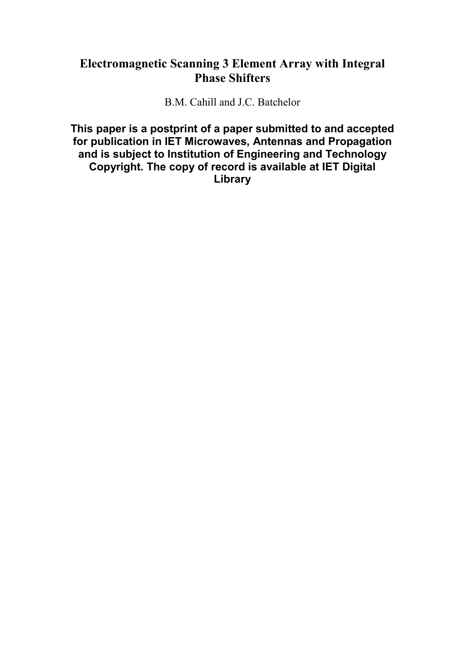## **Electromagnetic Scanning 3 Element Array with Integral Phase Shifters**

B.M. Cahill and J.C. Batchelor

**This paper is a postprint of a paper submitted to and accepted for publication in IET Microwaves, Antennas and Propagation and is subject to Institution of Engineering and Technology Copyright. The copy of record is available at IET Digital Library**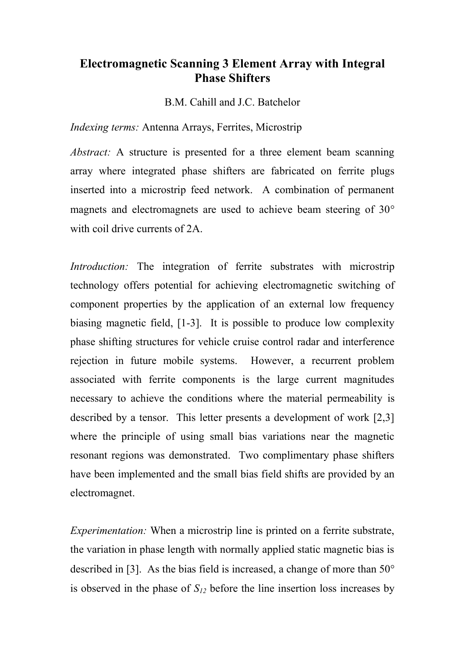## **Electromagnetic Scanning 3 Element Array with Integral Phase Shifters**

B.M. Cahill and J.C. Batchelor

*Indexing terms:* Antenna Arrays, Ferrites, Microstrip

*Abstract:* A structure is presented for a three element beam scanning array where integrated phase shifters are fabricated on ferrite plugs inserted into a microstrip feed network. A combination of permanent magnets and electromagnets are used to achieve beam steering of 30<sup>o</sup> with coil drive currents of 2A.

*Introduction:* The integration of ferrite substrates with microstrip technology offers potential for achieving electromagnetic switching of component properties by the application of an external low frequency biasing magnetic field, [1-3]. It is possible to produce low complexity phase shifting structures for vehicle cruise control radar and interference rejection in future mobile systems. However, a recurrent problem associated with ferrite components is the large current magnitudes necessary to achieve the conditions where the material permeability is described by a tensor. This letter presents a development of work [2,3] where the principle of using small bias variations near the magnetic resonant regions was demonstrated. Two complimentary phase shifters have been implemented and the small bias field shifts are provided by an electromagnet.

*Experimentation:* When a microstrip line is printed on a ferrite substrate, the variation in phase length with normally applied static magnetic bias is described in [3]. As the bias field is increased, a change of more than  $50^{\circ}$ is observed in the phase of  $S_{12}$  before the line insertion loss increases by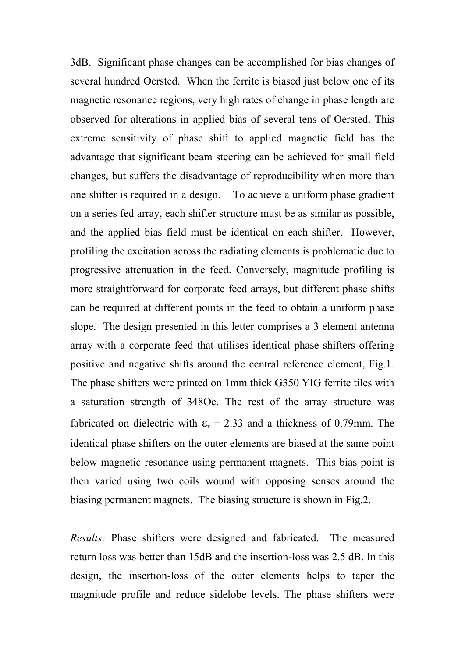3dB. Significant phase changes can be accomplished for bias changes of several hundred Oersted. When the ferrite is biased just below one of its magnetic resonance regions, very high rates of change in phase length are observed for alterations in applied bias of several tens of Oersted. This extreme sensitivity of phase shift to applied magnetic field has the advantage that significant beam steering can be achieved for small field changes, but suffers the disadvantage of reproducibility when more than one shifter is required in a design. To achieve a uniform phase gradient on a series fed array, each shifter structure must be as similar as possible, and the applied bias field must be identical on each shifter. However, profiling the excitation across the radiating elements is problematic due to progressive attenuation in the feed. Conversely, magnitude profiling is more straightforward for corporate feed arrays, but different phase shifts can be required at different points in the feed to obtain a uniform phase slope. The design presented in this letter comprises a 3 element antenna array with a corporate feed that utilises identical phase shifters offering positive and negative shifts around the central reference element, Fig.1. The phase shifters were printed on 1mm thick G350 YIG ferrite tiles with a saturation strength of 348Oe. The rest of the array structure was fabricated on dielectric with  $\varepsilon_r = 2.33$  and a thickness of 0.79mm. The identical phase shifters on the outer elements are biased at the same point below magnetic resonance using permanent magnets. This bias point is then varied using two coils wound with opposing senses around the biasing permanent magnets. The biasing structure is shown in Fig.2.

*Results:* Phase shifters were designed and fabricated. The measured return loss was better than 15dB and the insertion-loss was 2.5 dB. In this design, the insertion-loss of the outer elements helps to taper the magnitude profile and reduce sidelobe levels. The phase shifters were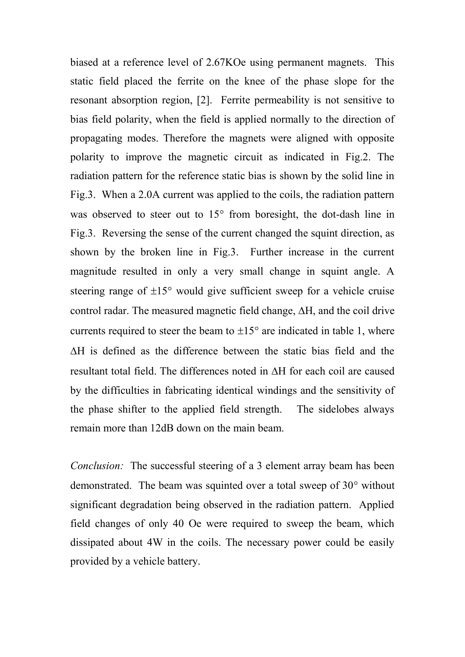biased at a reference level of 2.67KOe using permanent magnets. This static field placed the ferrite on the knee of the phase slope for the resonant absorption region, [2]. Ferrite permeability is not sensitive to bias field polarity, when the field is applied normally to the direction of propagating modes. Therefore the magnets were aligned with opposite polarity to improve the magnetic circuit as indicated in Fig.2. The radiation pattern for the reference static bias is shown by the solid line in Fig.3. When a 2.0A current was applied to the coils, the radiation pattern was observed to steer out to  $15^{\circ}$  from boresight, the dot-dash line in Fig.3. Reversing the sense of the current changed the squint direction, as shown by the broken line in Fig.3. Further increase in the current magnitude resulted in only a very small change in squint angle. A steering range of  $\pm 15^\circ$  would give sufficient sweep for a vehicle cruise control radar. The measured magnetic field change,  $\Delta H$ , and the coil drive currents required to steer the beam to  $\pm 15^{\circ}$  are indicated in table 1, where  $\Delta H$  is defined as the difference between the static bias field and the resultant total field. The differences noted in  $\Delta H$  for each coil are caused by the difficulties in fabricating identical windings and the sensitivity of the phase shifter to the applied field strength. The sidelobes always remain more than 12dB down on the main beam.

*Conclusion:* The successful steering of a 3 element array beam has been demonstrated. The beam was squinted over a total sweep of  $30^{\circ}$  without significant degradation being observed in the radiation pattern. Applied field changes of only 40 Oe were required to sweep the beam, which dissipated about 4W in the coils. The necessary power could be easily provided by a vehicle battery.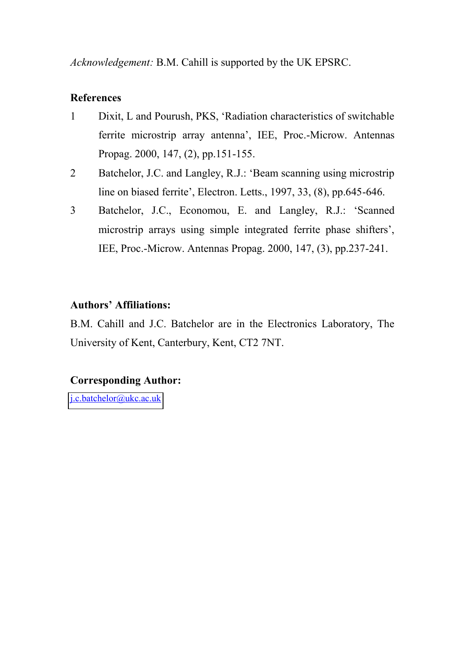*Acknowledgement:* B.M. Cahill is supported by the UK EPSRC.

### **References**

- 1 Dixit, L and Pourush, PKS, 'Radiation characteristics of switchable ferrite microstrip array antenna', IEE, Proc.-Microw. Antennas Propag. 2000, 147, (2), pp.151-155.
- 2 Batchelor, J.C. and Langley, R.J.: 'Beam scanning using microstrip line on biased ferrite', Electron. Letts., 1997, 33, (8), pp.645-646.
- 3 Batchelor, J.C., Economou, E. and Langley, R.J.: 'Scanned microstrip arrays using simple integrated ferrite phase shifters', IEE, Proc.-Microw. Antennas Propag. 2000, 147, (3), pp.237-241.

## **Authors' Affiliations:**

B.M. Cahill and J.C. Batchelor are in the Electronics Laboratory, The University of Kent, Canterbury, Kent, CT2 7NT.

## **Corresponding Author:**

[j.c.batchelor@ukc.ac.uk](mailto:j.c.batchelor@ukc.ac.uk)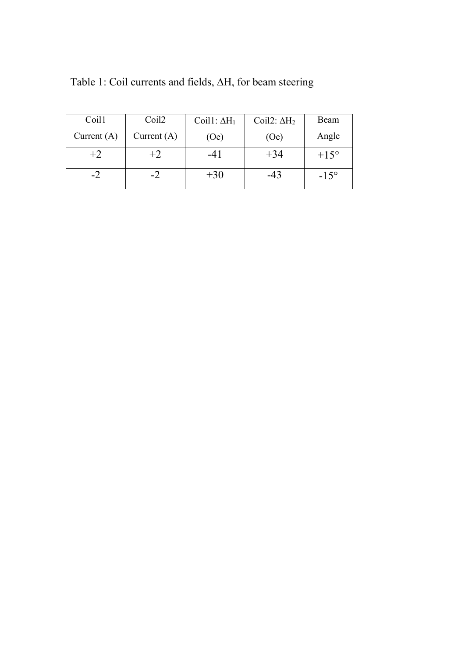| Coil1         | Coil <sub>2</sub> | Coil1: $\Delta H_1$ | Coil2: $\Delta H_2$ | Beam          |
|---------------|-------------------|---------------------|---------------------|---------------|
| Current $(A)$ | Current $(A)$     | (Oe)                | (Oe)                | Angle         |
| $+2$          | $+2$              | $-41$               | $+34$               | $+15^{\circ}$ |
|               |                   | $+30$               | -43                 | $-15^{\circ}$ |

Table 1: Coil currents and fields,  $\Delta H$ , for beam steering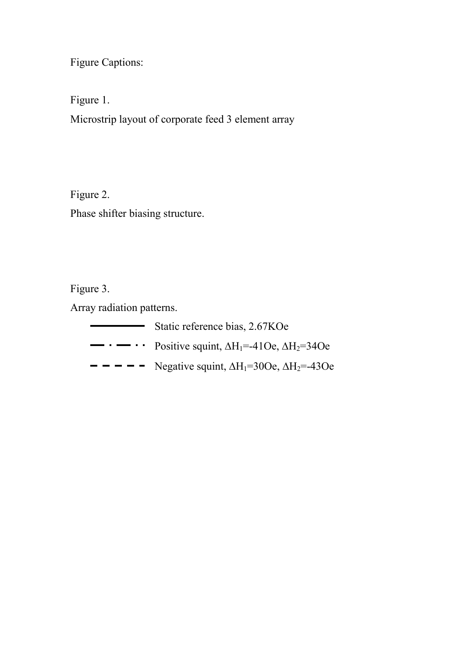Figure Captions:

Figure 1.

Microstrip layout of corporate feed 3 element array

Figure 2. Phase shifter biasing structure.

Figure 3.

Array radiation patterns.

| Static reference bias, 2.67KOe                                                              |
|---------------------------------------------------------------------------------------------|
| $\rightarrow \cdot \cdot \cdot$ Positive squint, $\Delta H_1 = -410e$ , $\Delta H_2 = 340e$ |
| $- - - -$ Negative squint, $\Delta H_1 = 300$ e, $\Delta H_2 = -430$ e                      |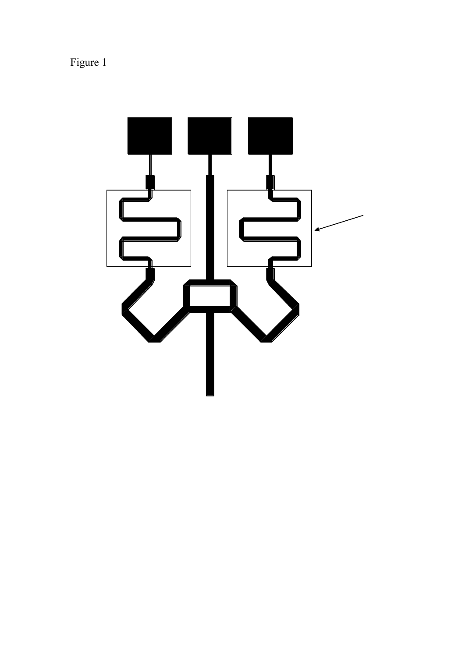Figure 1

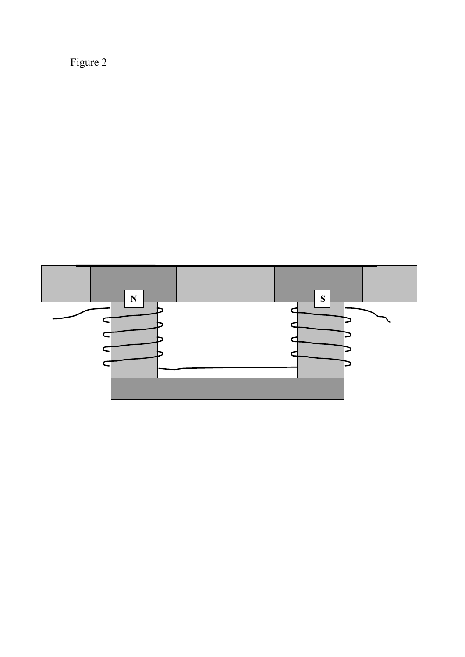Figure 2

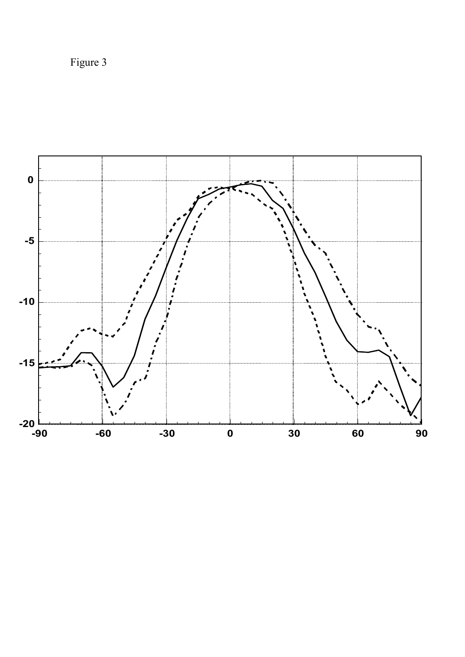Figure 3